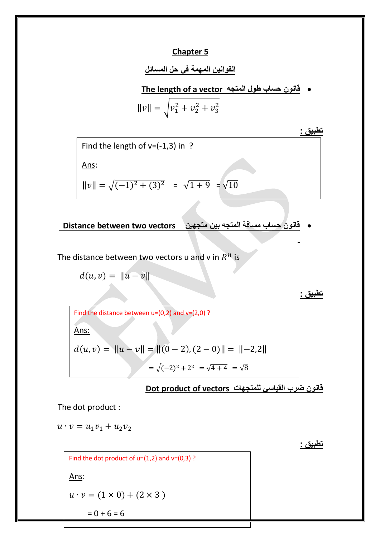## **Chapter 5**

## **القوانين المهمة في حل المسائل**

**The length of a vector المتجه طول حساب قانون**

$$
||v|| = \sqrt{v_1^2 + v_2^2 + v_3^2}
$$

**تطبيق :**

Find the length of  $v = (-1,3)$  in ? Ans:  $||v|| = \sqrt{(-1)^2 + (3)^2} = \sqrt{1+9} = \sqrt{1}$ 

**قانون حساب مسافة المتجه بين متجهين vectors two between Distance** 

The distance between two vectors u and v in  $R^n$  is

 $d(u, v) = ||u - v||$ 

 $d(u, v) = ||u - v|| = ||(0 - 2), (2 - 0)|| = ||-2,2||$ Find the distance between  $u=(0,2)$  and  $v=(2,0)$ ? Ans:  $=\sqrt{(-2)^2+2^2} = \sqrt{4+4} = \sqrt{8}$ 

**قانون ضرب القياسي للمتجهات vectors of product Dot**

The dot product :

 $u \cdot v = u_1 v_1 + u_2 v_2$ 

**تطبيق :**

```
Find the dot product of u=(1,2) and v=(0,3)?
Ans:
u \cdot v = (1 \times 0) + (2 \times 3)= 0 + 6 = 6
```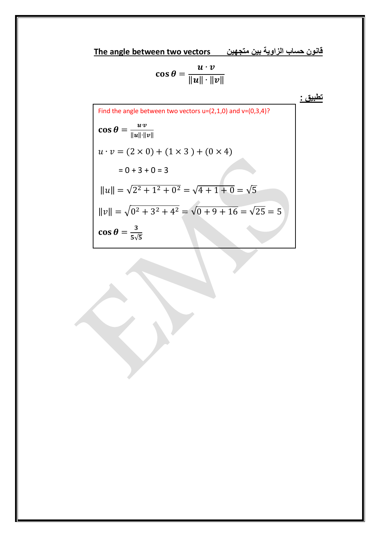**قانون حساب الزاوية بين متجهين vectors two between angle The**

$$
\cos\theta = \frac{u\cdot v}{\|u\|\cdot\|v\|}
$$

**تطبيق :**

Find the angle between two vectors u=(2,1,0) and v=(0,3,4)?  
\n
$$
\cos \theta = \frac{u \cdot v}{\|u\| \cdot \|v\|}
$$
\n
$$
u \cdot v = (2 \times 0) + (1 \times 3) + (0 \times 4)
$$
\n
$$
= 0 + 3 + 0 = 3
$$
\n
$$
||u|| = \sqrt{2^2 + 1^2 + 0^2} = \sqrt{4 + 1 + 0} = \sqrt{5}
$$
\n
$$
||v|| = \sqrt{0^2 + 3^2 + 4^2} = \sqrt{0 + 9 + 16} = \sqrt{25} = 5
$$
\n
$$
\cos \theta = \frac{3}{5\sqrt{5}}
$$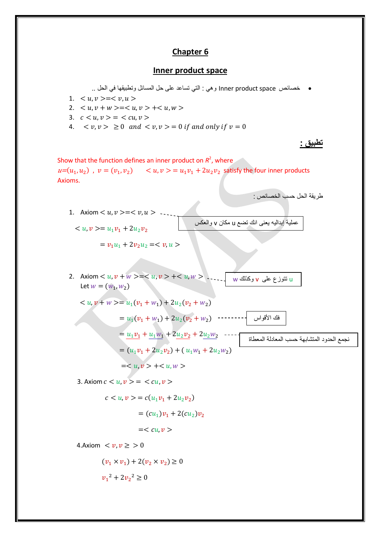## **Chapter 6**

## **Inner product space**

خصائص space product Inner وهي : التي تساعد على حل المسائل وتطبيقها في الحل ..

- 1.  $\langle u, v \rangle = \langle v, u \rangle$
- 2.  $\langle u, v + w \rangle = \langle u, v \rangle + \langle u, w \rangle$
- 3.  $c < u, v > = < cu, v >$
- 4.  $\langle v, v \rangle \ge 0$  and  $\langle v, v \rangle = 0$  if and only if  $v = 0$

**تطبيق :**

نجمع الحدود المتشابهة حسب

طريقة الحل حسب الخصائص :

Show that the function defines an inner product on  $R^2$ , where  $u=(u_1, u_2)$ ,  $v=(v_1, v_2)$   $\langle u, v \rangle = u_1v_1 + 2u_2v_2$  satisfy the four inner products Axioms.

1. Axiom 
$$
< u, v > = < v, u > - - -
$$
  
 $< u, v > = u_1v_1 + 2u_2v_2$   $\sqrt{u^2 + 2u^2 + 2u^2 + 2u^2 + 2u^2 + 2u^2}$ 

$$
= v_1 u_1 + 2 v_2 u_2 =
$$

2. Axiom 
$$
< u, v + w > = + -
$$
  
Let  $w = (w_1, w_2)$ 

$$
\begin{aligned}\n &< u, v + w >= u_1(v_1 + w_1) + 2u_2(v_2 + w_2) \\
 &= u_1(v_1 + w_1) + 2u_2(v_2 + w_2) \quad \cdots \quad \text{using } v_1 \text{ is a } \\
 &= \underbrace{u_1 v_1}_{= \{u_1 v_1 + 2u_1 w_1 + 2u_2 v_2 + 2u_2 w_2 \quad \cdots \quad \text{using } v_1 \text{ is a } u_2 \text{ is a } \\
 &= (u_1 v_1 + 2u_2 v_2) + (u_1 w_1 + 2u_2 w_2) \\
 &= < u, v > + < u, w >\n\end{aligned}
$$

3. Axiom  $c < u, v > u < cu, v >$ 

$$
c < u, v > = c(u_1v_1 + 2u_2v_2)
$$

$$
= (cu1)v1 + 2(cu2)v2
$$

$$
=
$$

4.Axiom  $\langle v, v \rangle \geq 0$ 

$$
(v_1 \times v_1) + 2(v_2 \times v_2) \ge 0
$$
  

$$
v_1^2 + 2v_2^2 > 0
$$